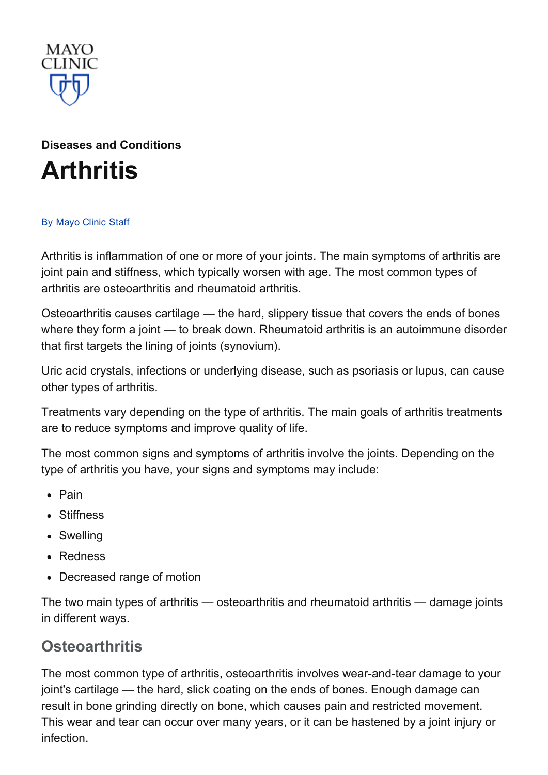

# Diseases and [Conditions](http://www.mayoclinic.org/diseases-conditions) **[Arthritis](http://www.mayoclinic.org/diseases-conditions/arthritis/basics/definition/con-20034095)**

#### By [Mayo](http://www.mayoclinic.org/about-this-site/welcome) Clinic Staff

Arthritis is inflammation of one or more of your joints. The main symptoms of arthritis are joint pain and stiffness, which typically worsen with age. The most common types of arthritis are osteoarthritis and rheumatoid arthritis.

Osteoarthritis causes cartilage — the hard, slippery tissue that covers the ends of bones where they form a joint — to break down. Rheumatoid arthritis is an autoimmune disorder that first targets the lining of joints (synovium).

Uric acid crystals, infections or underlying disease, such as psoriasis or lupus, can cause other types of arthritis.

Treatments vary depending on the type of arthritis. The main goals of arthritis treatments are to reduce symptoms and improve quality of life.

The most common signs and symptoms of arthritis involve the joints. Depending on the type of arthritis you have, your signs and symptoms may include:

- Pain
- Stiffness
- Swelling
- Redness
- Decreased range of motion

The two main types of arthritis — osteoarthritis and rheumatoid arthritis — damage joints in different ways.

#### **Osteoarthritis**

The most common type of arthritis, osteoarthritis involves wear-and-tear damage to your joint's cartilage — the hard, slick coating on the ends of bones. Enough damage can result in bone grinding directly on bone, which causes pain and restricted movement. This wear and tear can occur over many years, or it can be hastened by a joint injury or infection.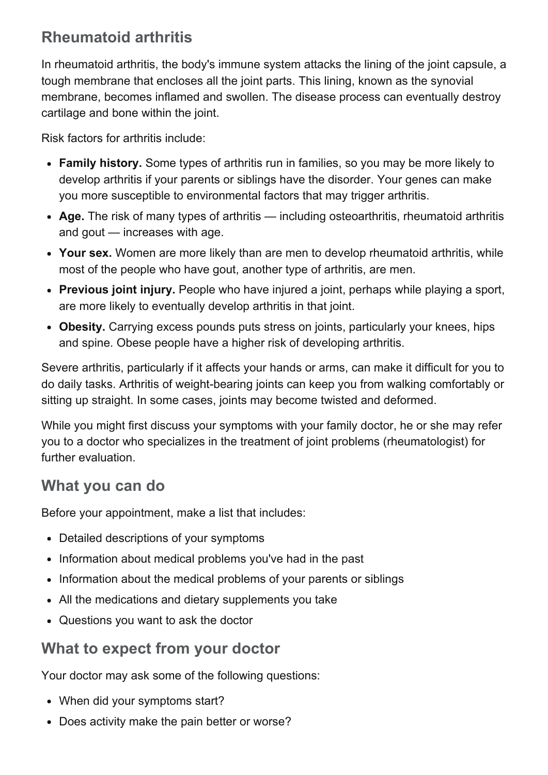# Rheumatoid arthritis

In rheumatoid arthritis, the body's immune system attacks the lining of the joint capsule, a tough membrane that encloses all the joint parts. This lining, known as the synovial membrane, becomes inflamed and swollen. The disease process can eventually destroy cartilage and bone within the joint.

Risk factors for arthritis include:

- Family history. Some types of arthritis run in families, so you may be more likely to develop arthritis if your parents or siblings have the disorder. Your genes can make you more susceptible to environmental factors that may trigger arthritis.
- Age. The risk of many types of arthritis including osteoarthritis, rheumatoid arthritis and gout — increases with age.
- Your sex. Women are more likely than are men to develop rheumatoid arthritis, while most of the people who have gout, another type of arthritis, are men.
- Previous joint injury. People who have injured a joint, perhaps while playing a sport, are more likely to eventually develop arthritis in that joint.
- Obesity. Carrying excess pounds puts stress on joints, particularly your knees, hips and spine. Obese people have a higher risk of developing arthritis.

Severe arthritis, particularly if it affects your hands or arms, can make it difficult for you to do daily tasks. Arthritis of weight-bearing joints can keep you from walking comfortably or sitting up straight. In some cases, joints may become twisted and deformed.

While you might first discuss your symptoms with your family doctor, he or she may refer you to a doctor who specializes in the treatment of joint problems (rheumatologist) for further evaluation.

#### What you can do

Before your appointment, make a list that includes:

- Detailed descriptions of your symptoms
- Information about medical problems you've had in the past
- Information about the medical problems of your parents or siblings
- All the medications and dietary supplements you take
- Questions you want to ask the doctor

### What to expect from your doctor

Your doctor may ask some of the following questions:

- When did your symptoms start?
- Does activity make the pain better or worse?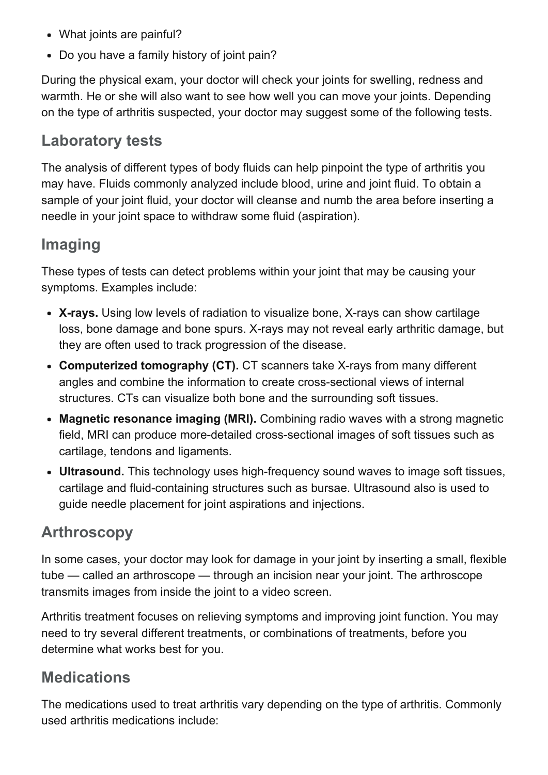- What joints are painful?
- Do you have a family history of joint pain?

During the physical exam, your doctor will check your joints for swelling, redness and warmth. He or she will also want to see how well you can move your joints. Depending on the type of arthritis suspected, your doctor may suggest some of the following tests.

#### Laboratory tests

The analysis of different types of body fluids can help pinpoint the type of arthritis you may have. Fluids commonly analyzed include blood, urine and joint fluid. To obtain a sample of your joint fluid, your doctor will cleanse and numb the area before inserting a needle in your joint space to withdraw some fluid (aspiration).

### Imaging

These types of tests can detect problems within your joint that may be causing your symptoms. Examples include:

- X-rays. Using low levels of radiation to visualize bone, X-rays can show cartilage loss, bone damage and bone spurs. X-rays may not reveal early arthritic damage, but they are often used to track progression of the disease.
- Computerized tomography (CT). CT scanners take X-rays from many different angles and combine the information to create cross-sectional views of internal structures. CTs can visualize both bone and the surrounding soft tissues.
- Magnetic resonance imaging (MRI). Combining radio waves with a strong magnetic field, MRI can produce more-detailed cross-sectional images of soft tissues such as cartilage, tendons and ligaments.
- Ultrasound. This technology uses high-frequency sound waves to image soft tissues, cartilage and fluid-containing structures such as bursae. Ultrasound also is used to guide needle placement for joint aspirations and injections.

### Arthroscopy

In some cases, your doctor may look for damage in your joint by inserting a small, flexible tube — called an arthroscope — through an incision near your joint. The arthroscope transmits images from inside the joint to a video screen.

Arthritis treatment focuses on relieving symptoms and improving joint function. You may need to try several different treatments, or combinations of treatments, before you determine what works best for you.

#### **Medications**

The medications used to treat arthritis vary depending on the type of arthritis. Commonly used arthritis medications include: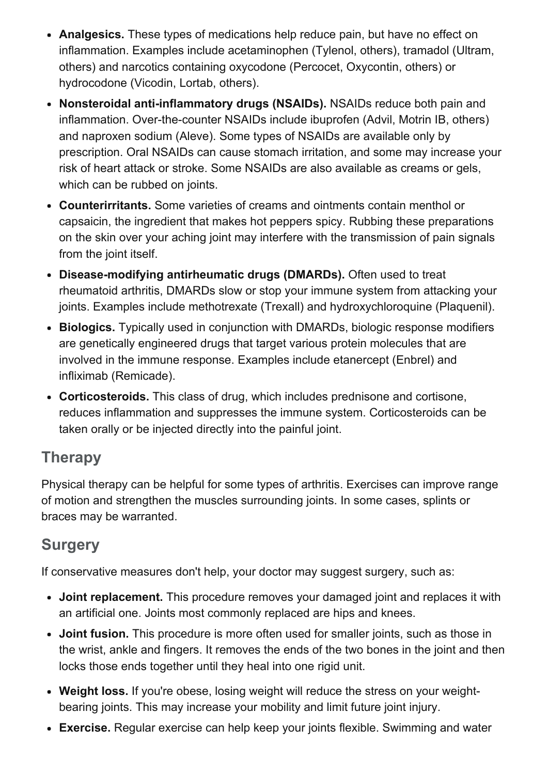- Analgesics. These types of medications help reduce pain, but have no effect on inflammation. Examples include acetaminophen (Tylenol, others), tramadol (Ultram, others) and narcotics containing oxycodone (Percocet, Oxycontin, others) or hydrocodone (Vicodin, Lortab, others).
- Nonsteroidal anti-inflammatory drugs (NSAIDs). NSAIDs reduce both pain and inflammation. Over-the-counter NSAIDs include ibuprofen (Advil, Motrin IB, others) and naproxen sodium (Aleve). Some types of NSAIDs are available only by prescription. Oral NSAIDs can cause stomach irritation, and some may increase your risk of heart attack or stroke. Some NSAIDs are also available as creams or gels, which can be rubbed on joints.
- Counterirritants. Some varieties of creams and ointments contain menthol or capsaicin, the ingredient that makes hot peppers spicy. Rubbing these preparations on the skin over your aching joint may interfere with the transmission of pain signals from the joint itself.
- Disease-modifying antirheumatic drugs (DMARDs). Often used to treat rheumatoid arthritis, DMARDs slow or stop your immune system from attacking your joints. Examples include methotrexate (Trexall) and hydroxychloroquine (Plaquenil).
- Biologics. Typically used in conjunction with DMARDs, biologic response modifiers are genetically engineered drugs that target various protein molecules that are involved in the immune response. Examples include etanercept (Enbrel) and infliximab (Remicade).
- Corticosteroids. This class of drug, which includes prednisone and cortisone, reduces inflammation and suppresses the immune system. Corticosteroids can be taken orally or be injected directly into the painful joint.

# Therapy

Physical therapy can be helpful for some types of arthritis. Exercises can improve range of motion and strengthen the muscles surrounding joints. In some cases, splints or braces may be warranted.

# **Surgery**

If conservative measures don't help, your doctor may suggest surgery, such as:

- Joint replacement. This procedure removes your damaged joint and replaces it with an artificial one. Joints most commonly replaced are hips and knees.
- Joint fusion. This procedure is more often used for smaller joints, such as those in the wrist, ankle and fingers. It removes the ends of the two bones in the joint and then locks those ends together until they heal into one rigid unit.
- Weight loss. If you're obese, losing weight will reduce the stress on your weightbearing joints. This may increase your mobility and limit future joint injury.
- Exercise. Regular exercise can help keep your joints flexible. Swimming and water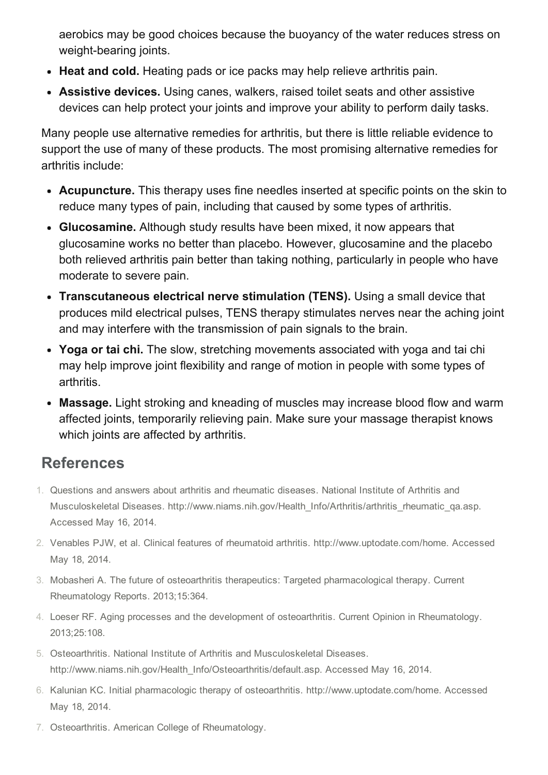aerobics may be good choices because the buoyancy of the water reduces stress on weight-bearing joints.

- Heat and cold. Heating pads or ice packs may help relieve arthritis pain.
- Assistive devices. Using canes, walkers, raised toilet seats and other assistive devices can help protect your joints and improve your ability to perform daily tasks.

Many people use alternative remedies for arthritis, but there is little reliable evidence to support the use of many of these products. The most promising alternative remedies for arthritis include:

- Acupuncture. This therapy uses fine needles inserted at specific points on the skin to reduce many types of pain, including that caused by some types of arthritis.
- Glucosamine. Although study results have been mixed, it now appears that glucosamine works no better than placebo. However, glucosamine and the placebo both relieved arthritis pain better than taking nothing, particularly in people who have moderate to severe pain.
- Transcutaneous electrical nerve stimulation (TENS). Using a small device that produces mild electrical pulses, TENS therapy stimulates nerves near the aching joint and may interfere with the transmission of pain signals to the brain.
- Yoga or tai chi. The slow, stretching movements associated with yoga and tai chi may help improve joint flexibility and range of motion in people with some types of arthritis.
- Massage. Light stroking and kneading of muscles may increase blood flow and warm affected joints, temporarily relieving pain. Make sure your massage therapist knows which joints are affected by arthritis.

# References

- 1. Questions and answers about arthritis and rheumatic diseases. National Institute of Arthritis and Musculoskeletal Diseases. http://www.niams.nih.gov/Health\_Info/Arthritis/arthritis\_rheumatic\_qa.asp. Accessed May 16, 2014.
- 2. Venables PJW, et al. Clinical features of rheumatoid arthritis. http://www.uptodate.com/home. Accessed May 18, 2014.
- 3. Mobasheri A. The future of osteoarthritis therapeutics: Targeted pharmacological therapy. Current Rheumatology Reports. 2013;15:364.
- 4. Loeser RF. Aging processes and the development of osteoarthritis. Current Opinion in Rheumatology. 2013;25:108.
- 5. Osteoarthritis. National Institute of Arthritis and Musculoskeletal Diseases. http://www.niams.nih.gov/Health\_Info/Osteoarthritis/default.asp. Accessed May 16, 2014.
- 6. Kalunian KC. Initial pharmacologic therapy of osteoarthritis. http://www.uptodate.com/home. Accessed May 18, 2014.
- 7. Osteoarthritis. American College of Rheumatology.